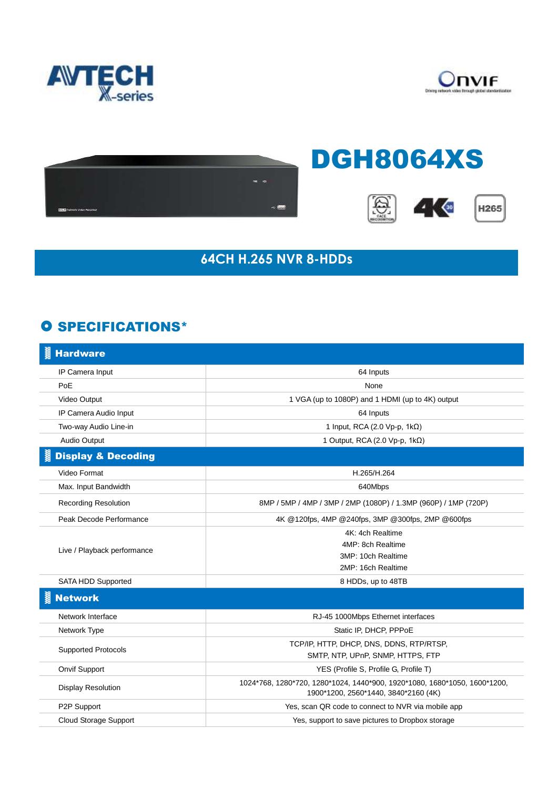





## **64CH H.265 NVR 8-HDDs**

## **O SPECIFICATIONS\***

| <b>Hardware</b>               |                                                                                                                   |
|-------------------------------|-------------------------------------------------------------------------------------------------------------------|
| IP Camera Input               | 64 Inputs                                                                                                         |
| PoE                           | None                                                                                                              |
| Video Output                  | 1 VGA (up to 1080P) and 1 HDMI (up to 4K) output                                                                  |
| IP Camera Audio Input         | 64 Inputs                                                                                                         |
| Two-way Audio Line-in         | 1 Input, RCA (2.0 Vp-p, 1kΩ)                                                                                      |
| Audio Output                  | 1 Output, RCA (2.0 Vp-p, 1kΩ)                                                                                     |
| <b>Display &amp; Decoding</b> |                                                                                                                   |
| Video Format                  | H.265/H.264                                                                                                       |
| Max. Input Bandwidth          | 640Mbps                                                                                                           |
| <b>Recording Resolution</b>   | 8MP / 5MP / 4MP / 3MP / 2MP (1080P) / 1.3MP (960P) / 1MP (720P)                                                   |
| Peak Decode Performance       | 4K @120fps, 4MP @240fps, 3MP @300fps, 2MP @600fps                                                                 |
| Live / Playback performance   | 4K: 4ch Realtime                                                                                                  |
|                               | 4MP: 8ch Realtime                                                                                                 |
|                               | 3MP: 10ch Realtime                                                                                                |
|                               | 2MP: 16ch Realtime                                                                                                |
| <b>SATA HDD Supported</b>     | 8 HDDs, up to 48TB                                                                                                |
| <b>Network</b>                |                                                                                                                   |
| Network Interface             | RJ-45 1000Mbps Ethernet interfaces                                                                                |
| Network Type                  | Static IP, DHCP, PPPoE                                                                                            |
| <b>Supported Protocols</b>    | TCP/IP, HTTP, DHCP, DNS, DDNS, RTP/RTSP,                                                                          |
|                               | SMTP, NTP, UPnP, SNMP, HTTPS, FTP                                                                                 |
| <b>Onvif Support</b>          | YES (Profile S, Profile G, Profile T)                                                                             |
| <b>Display Resolution</b>     | 1024*768, 1280*720, 1280*1024, 1440*900, 1920*1080, 1680*1050, 1600*1200,<br>1900*1200, 2560*1440, 3840*2160 (4K) |
| P2P Support                   | Yes, scan QR code to connect to NVR via mobile app                                                                |
| Cloud Storage Support         | Yes, support to save pictures to Dropbox storage                                                                  |